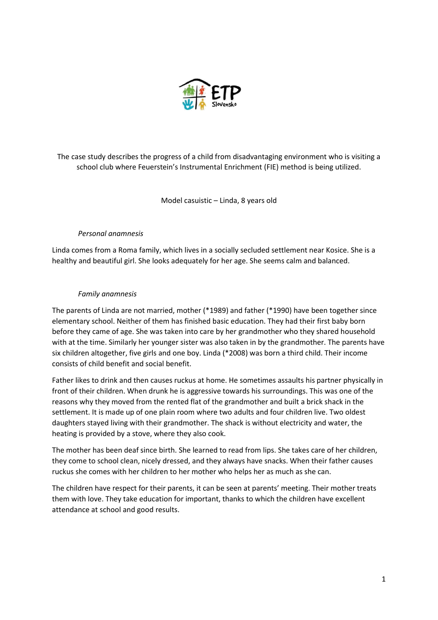

The case study describes the progress of a child from disadvantaging environment who is visiting a school club where Feuerstein's Instrumental Enrichment (FIE) method is being utilized.

Model casuistic – Linda, 8 years old

# *Personal anamnesis*

Linda comes from a Roma family, which lives in a socially secluded settlement near Kosice. She is a healthy and beautiful girl. She looks adequately for her age. She seems calm and balanced.

### *Family anamnesis*

The parents of Linda are not married, mother (\*1989) and father (\*1990) have been together since elementary school. Neither of them has finished basic education. They had their first baby born before they came of age. She was taken into care by her grandmother who they shared household with at the time. Similarly her younger sister was also taken in by the grandmother. The parents have six children altogether, five girls and one boy. Linda (\*2008) was born a third child. Their income consists of child benefit and social benefit.

Father likes to drink and then causes ruckus at home. He sometimes assaults his partner physically in front of their children. When drunk he is aggressive towards his surroundings. This was one of the reasons why they moved from the rented flat of the grandmother and built a brick shack in the settlement. It is made up of one plain room where two adults and four children live. Two oldest daughters stayed living with their grandmother. The shack is without electricity and water, the heating is provided by a stove, where they also cook.

The mother has been deaf since birth. She learned to read from lips. She takes care of her children, they come to school clean, nicely dressed, and they always have snacks. When their father causes ruckus she comes with her children to her mother who helps her as much as she can.

The children have respect for their parents, it can be seen at parents' meeting. Their mother treats them with love. They take education for important, thanks to which the children have excellent attendance at school and good results.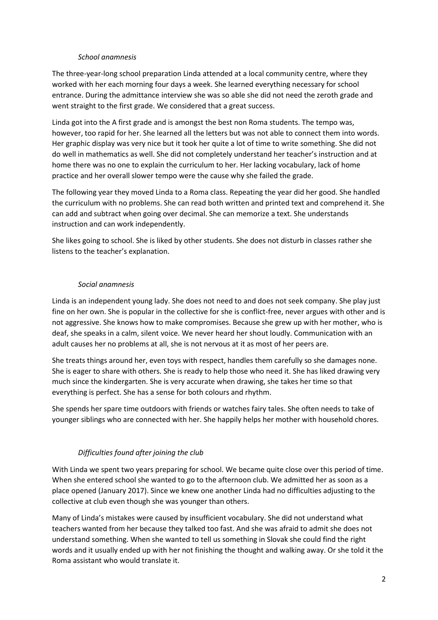#### *School anamnesis*

The three-year-long school preparation Linda attended at a local community centre, where they worked with her each morning four days a week. She learned everything necessary for school entrance. During the admittance interview she was so able she did not need the zeroth grade and went straight to the first grade. We considered that a great success.

Linda got into the A first grade and is amongst the best non Roma students. The tempo was, however, too rapid for her. She learned all the letters but was not able to connect them into words. Her graphic display was very nice but it took her quite a lot of time to write something. She did not do well in mathematics as well. She did not completely understand her teacher's instruction and at home there was no one to explain the curriculum to her. Her lacking vocabulary, lack of home practice and her overall slower tempo were the cause why she failed the grade.

The following year they moved Linda to a Roma class. Repeating the year did her good. She handled the curriculum with no problems. She can read both written and printed text and comprehend it. She can add and subtract when going over decimal. She can memorize a text. She understands instruction and can work independently.

She likes going to school. She is liked by other students. She does not disturb in classes rather she listens to the teacher's explanation.

### *Social anamnesis*

Linda is an independent young lady. She does not need to and does not seek company. She play just fine on her own. She is popular in the collective for she is conflict-free, never argues with other and is not aggressive. She knows how to make compromises. Because she grew up with her mother, who is deaf, she speaks in a calm, silent voice. We never heard her shout loudly. Communication with an adult causes her no problems at all, she is not nervous at it as most of her peers are.

She treats things around her, even toys with respect, handles them carefully so she damages none. She is eager to share with others. She is ready to help those who need it. She has liked drawing very much since the kindergarten. She is very accurate when drawing, she takes her time so that everything is perfect. She has a sense for both colours and rhythm.

She spends her spare time outdoors with friends or watches fairy tales. She often needs to take of younger siblings who are connected with her. She happily helps her mother with household chores.

# *Difficulties found after joining the club*

With Linda we spent two years preparing for school. We became quite close over this period of time. When she entered school she wanted to go to the afternoon club. We admitted her as soon as a place opened (January 2017). Since we knew one another Linda had no difficulties adjusting to the collective at club even though she was younger than others.

Many of Linda's mistakes were caused by insufficient vocabulary. She did not understand what teachers wanted from her because they talked too fast. And she was afraid to admit she does not understand something. When she wanted to tell us something in Slovak she could find the right words and it usually ended up with her not finishing the thought and walking away. Or she told it the Roma assistant who would translate it.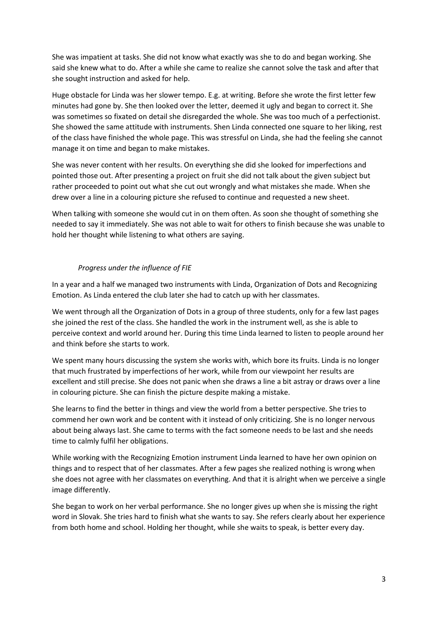She was impatient at tasks. She did not know what exactly was she to do and began working. She said she knew what to do. After a while she came to realize she cannot solve the task and after that she sought instruction and asked for help.

Huge obstacle for Linda was her slower tempo. E.g. at writing. Before she wrote the first letter few minutes had gone by. She then looked over the letter, deemed it ugly and began to correct it. She was sometimes so fixated on detail she disregarded the whole. She was too much of a perfectionist. She showed the same attitude with instruments. Shen Linda connected one square to her liking, rest of the class have finished the whole page. This was stressful on Linda, she had the feeling she cannot manage it on time and began to make mistakes.

She was never content with her results. On everything she did she looked for imperfections and pointed those out. After presenting a project on fruit she did not talk about the given subject but rather proceeded to point out what she cut out wrongly and what mistakes she made. When she drew over a line in a colouring picture she refused to continue and requested a new sheet.

When talking with someone she would cut in on them often. As soon she thought of something she needed to say it immediately. She was not able to wait for others to finish because she was unable to hold her thought while listening to what others are saying.

# *Progress under the influence of FIE*

In a year and a half we managed two instruments with Linda, Organization of Dots and Recognizing Emotion. As Linda entered the club later she had to catch up with her classmates.

We went through all the Organization of Dots in a group of three students, only for a few last pages she joined the rest of the class. She handled the work in the instrument well, as she is able to perceive context and world around her. During this time Linda learned to listen to people around her and think before she starts to work.

We spent many hours discussing the system she works with, which bore its fruits. Linda is no longer that much frustrated by imperfections of her work, while from our viewpoint her results are excellent and still precise. She does not panic when she draws a line a bit astray or draws over a line in colouring picture. She can finish the picture despite making a mistake.

She learns to find the better in things and view the world from a better perspective. She tries to commend her own work and be content with it instead of only criticizing. She is no longer nervous about being always last. She came to terms with the fact someone needs to be last and she needs time to calmly fulfil her obligations.

While working with the Recognizing Emotion instrument Linda learned to have her own opinion on things and to respect that of her classmates. After a few pages she realized nothing is wrong when she does not agree with her classmates on everything. And that it is alright when we perceive a single image differently.

She began to work on her verbal performance. She no longer gives up when she is missing the right word in Slovak. She tries hard to finish what she wants to say. She refers clearly about her experience from both home and school. Holding her thought, while she waits to speak, is better every day.